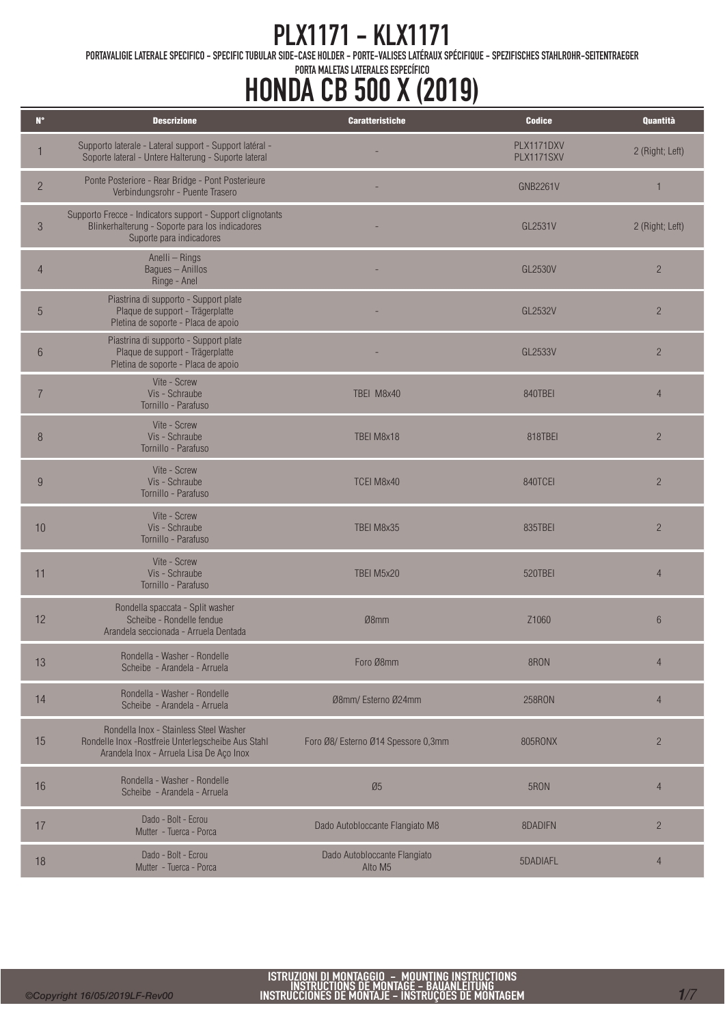PORTAVALIGIE LATERALE SPECIFICO - SPECIFIC TUBULAR SIDE-CASE HOLDER - PORTE-VALISES LATÉRAUX SPÉCIFIQUE - SPEZIFISCHES STAHLROHR-SEITENTRAEGER

| $\mathbf{N}^{\circ}$ | <b>Descrizione</b>                                                                                                                        | <b>Caratteristiche</b>                              | <b>Codice</b>            | Quantità        |
|----------------------|-------------------------------------------------------------------------------------------------------------------------------------------|-----------------------------------------------------|--------------------------|-----------------|
|                      | Supporto laterale - Lateral support - Support latéral -<br>Soporte lateral - Untere Halterung - Suporte lateral                           |                                                     | PLX1171DXV<br>PLX1171SXV | 2 (Right; Left) |
| $\overline{2}$       | Ponte Posteriore - Rear Bridge - Pont Posterieure<br>Verbindungsrohr - Puente Trasero                                                     |                                                     | <b>GNB2261V</b>          | $\mathbf{1}$    |
| $\mathfrak{Z}$       | Supporto Frecce - Indicators support - Support clignotants<br>Blinkerhalterung - Soporte para los indicadores<br>Suporte para indicadores |                                                     | GL2531V                  | 2 (Right; Left) |
| $\overline{4}$       | Anelli - Rings<br>Bagues - Anillos<br>Ringe - Anel                                                                                        |                                                     | GL2530V                  | $\overline{2}$  |
| 5                    | Piastrina di supporto - Support plate<br>Plaque de support - Trägerplatte<br>Pletina de soporte - Placa de apoio                          |                                                     | GL2532V                  | $\overline{c}$  |
| $6\phantom{1}6$      | Piastrina di supporto - Support plate<br>Plaque de support - Trägerplatte<br>Pletina de soporte - Placa de apoio                          |                                                     | GL2533V                  | $\overline{2}$  |
| $\overline{7}$       | Vite - Screw<br>Vis - Schraube<br>Tornillo - Parafuso                                                                                     | TBEI M8x40                                          | 840TBEI                  | $\overline{4}$  |
| 8                    | Vite - Screw<br>Vis - Schraube<br>Tornillo - Parafuso                                                                                     | TBEI M8x18                                          | 818TBEI                  | $\overline{c}$  |
| 9                    | Vite - Screw<br>Vis - Schraube<br>Tornillo - Parafuso                                                                                     | TCEI M8x40                                          | 840TCEI                  | $\overline{2}$  |
| 10                   | Vite - Screw<br>Vis - Schraube<br>Tornillo - Parafuso                                                                                     | TBEI M8x35                                          | 835TBEI                  | $\overline{2}$  |
| 11                   | Vite - Screw<br>Vis - Schraube<br>Tornillo - Parafuso                                                                                     | TBEI M5x20                                          | 520TBEI                  | $\overline{4}$  |
| 12                   | Rondella spaccata - Split washer<br>Scheibe - Rondelle fendue<br>Arandela seccionada - Arruela Dentada                                    | Ø8mm                                                | Z1060                    | $6\phantom{.}6$ |
| 13                   | Rondella - Washer - Rondelle<br>Scheibe - Arandela - Arruela                                                                              | Foro Ø8mm                                           | 8RON                     | $\overline{4}$  |
| 14                   | Rondella - Washer - Rondelle<br>Scheibe - Arandela - Arruela                                                                              | Ø8mm/ Esterno Ø24mm                                 | <b>258RON</b>            | $\overline{4}$  |
| 15                   | Rondella Inox - Stainless Steel Washer<br>Rondelle Inox - Rostfreie Unterlegscheibe Aus Stahl<br>Arandela Inox - Arruela Lisa De Aço Inox | Foro Ø8/ Esterno Ø14 Spessore 0,3mm                 | 805RONX                  | $\overline{c}$  |
| 16                   | Rondella - Washer - Rondelle<br>Scheibe - Arandela - Arruela                                                                              | $\varnothing 5$                                     | 5RON                     | $\overline{4}$  |
| 17                   | Dado - Bolt - Ecrou<br>Mutter - Tuerca - Porca                                                                                            | Dado Autobloccante Flangiato M8                     | 8DADIFN                  | $\overline{2}$  |
| 18                   | Dado - Bolt - Ecrou<br>Mutter - Tuerca - Porca                                                                                            | Dado Autobloccante Flangiato<br>Alto M <sub>5</sub> | 5DADIAFL                 | $\overline{4}$  |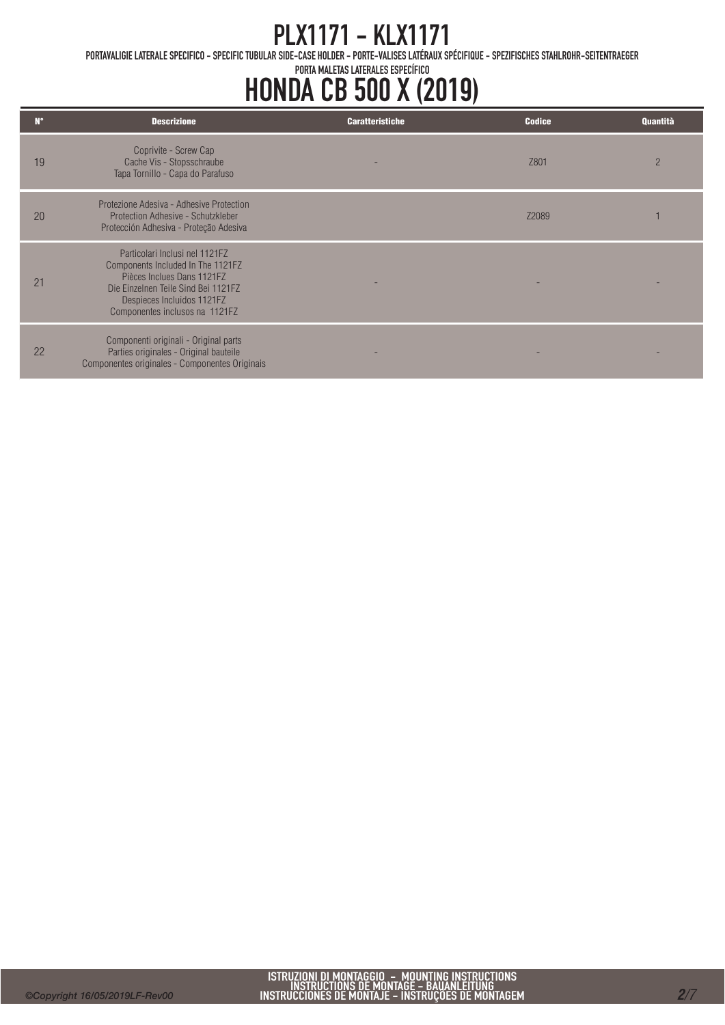PORTAVALIGIE LATERALE SPECIFICO - SPECIFIC TUBULAR SIDE-CASE HOLDER - PORTE-VALISES LATÉRAUX SPÉCIFIQUE - SPEZIFISCHES STAHLROHR-SEITENTRAEGER

| N۰             | <b>Descrizione</b>                                                                                                                                                                                       | <b>Caratteristiche</b> | <b>Codice</b> | <b>Quantità</b> |
|----------------|----------------------------------------------------------------------------------------------------------------------------------------------------------------------------------------------------------|------------------------|---------------|-----------------|
| 19             | Coprivite - Screw Cap<br>Cache Vis - Stopsschraube<br>Tapa Tornillo - Capa do Parafuso                                                                                                                   |                        | Z801          | $\overline{2}$  |
| 20             | Protezione Adesiva - Adhesive Protection<br>Protection Adhesive - Schutzkleber<br>Protección Adhesiva - Proteção Adesiva                                                                                 |                        | 72089         |                 |
| 2 <sup>1</sup> | Particolari Inclusi nel 1121F7<br>Components Included In The 1121FZ<br>Pièces Inclues Dans 1121F7<br>Die Einzelnen Teile Sind Bei 1121FZ<br>Despieces Incluidos 1121FZ<br>Componentes inclusos na 1121FZ |                        |               |                 |
| 22             | Componenti originali - Original parts<br>Parties originales - Original bauteile<br>Componentes originales - Componentes Originais                                                                        |                        |               |                 |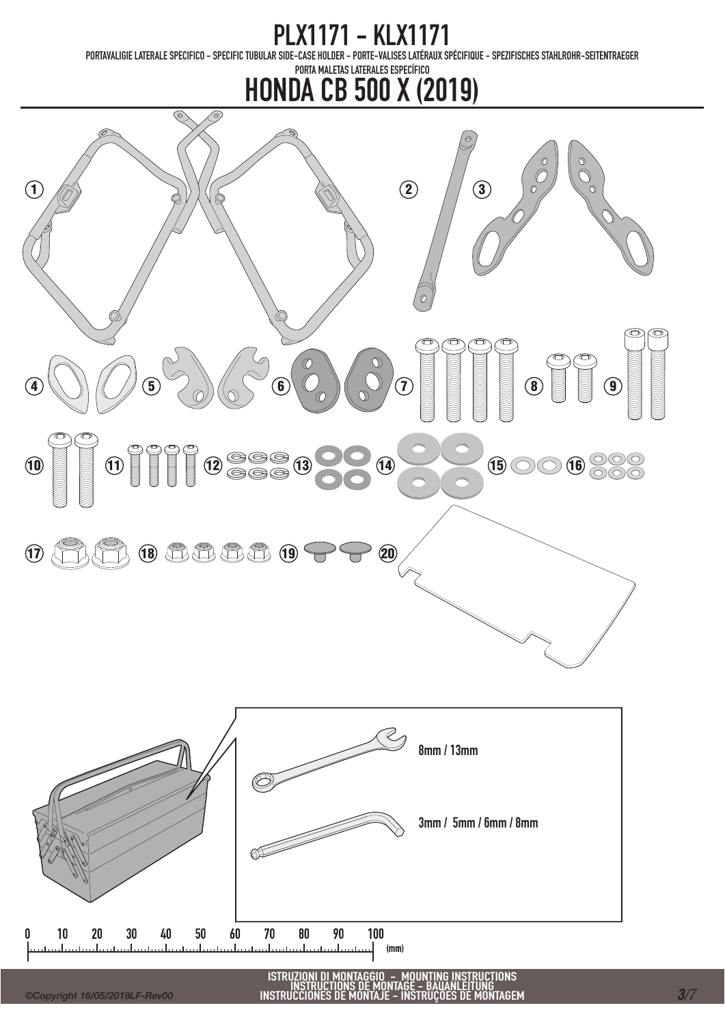# PLX1171 - KLX1171<br>PORTAVALIGIE LATERALE SPECIFICO – SPECIFIC TUBULAR SIDE-CASE HOLDER – PORTE-VALISES LATÉRAUX S

-CASE HOLDER – PORTE-VALISES LATÉRAUX SPÉCIFIQUE – SPEZIFISCHES STAHLROHR-SEITENTRAEGER

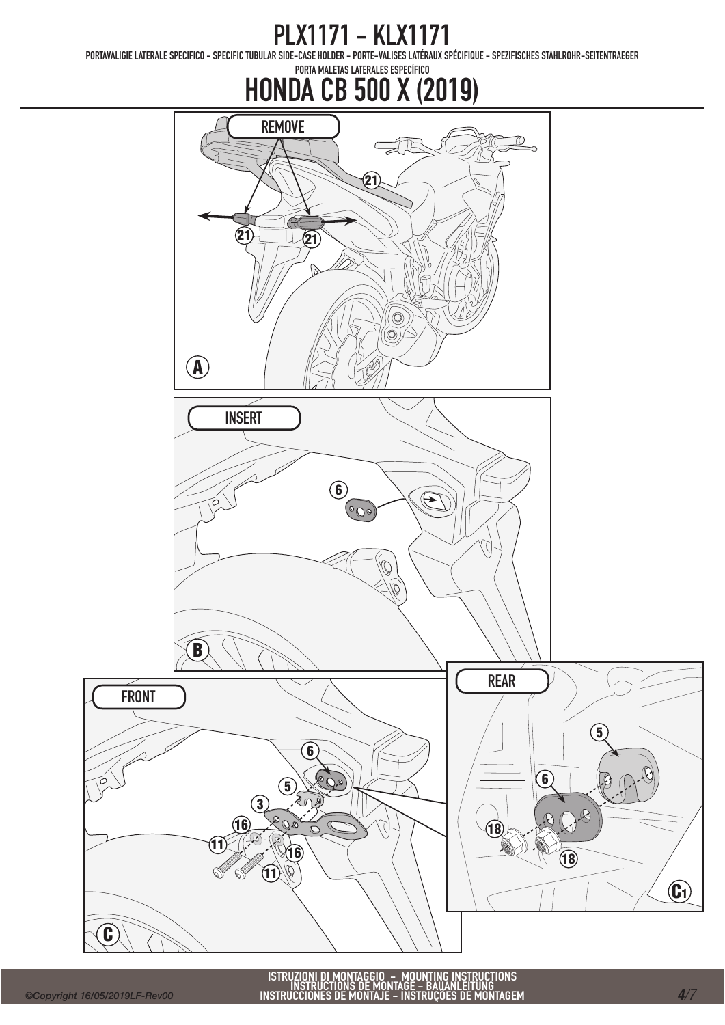PORTAVALIGIE LATERALE SPECIFICO - SPECIFIC TUBULAR SIDE-CASE HOLDER - PORTE-VALISES LATÉRAUX SPÉCIFIQUE - SPEZIFISCHES STAHLROHR-SEITENTRAEGER

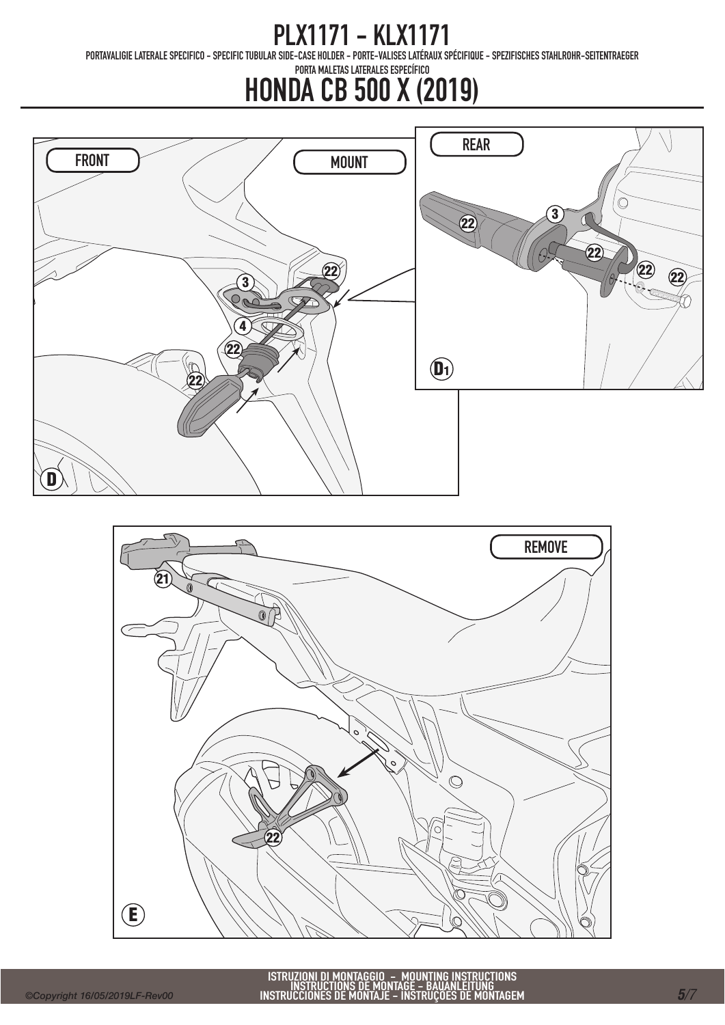PORTAVALIGIE LATERALE SPECIFICO - SPECIFIC TUBULAR SIDE-CASE HOLDER - PORTE-VALISES LATÉRAUX SPÉCIFIQUE - SPEZIFISCHES STAHLROHR-SEITENTRAEGER



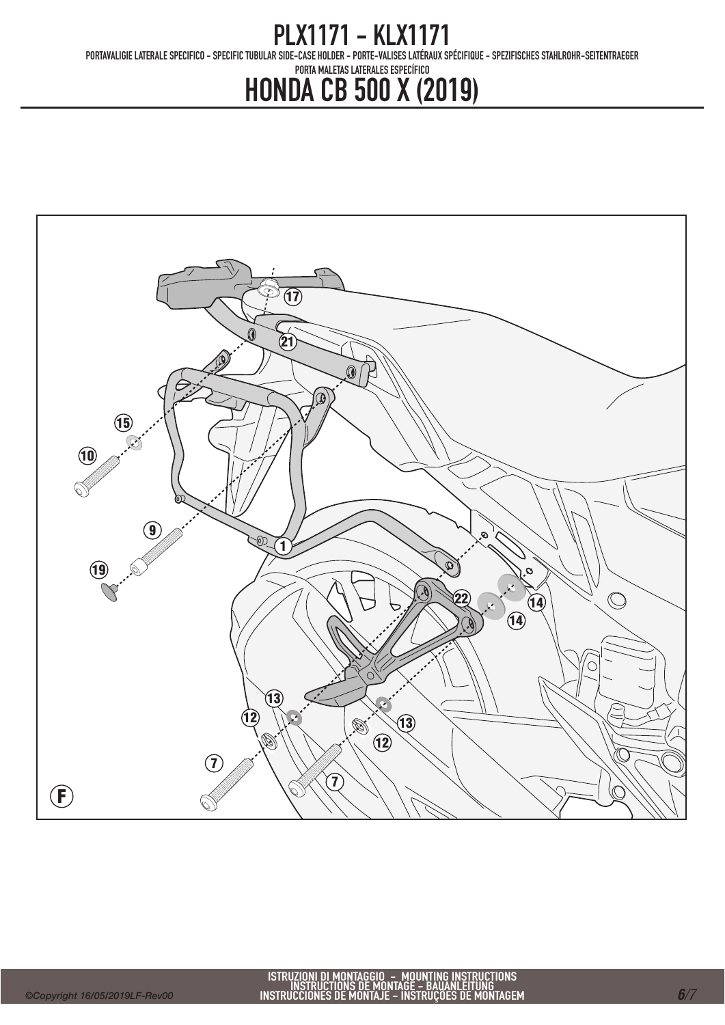PORTAVALIGIE LATERALE SPECIFICO - SPECIFIC TUBULAR SIDE-CASE HOLDER - PORTE-VALISES LATÉRAUX SPÉCIFIQUE - SPEZIFISCHES STAHLROHR-SEITENTRAEGER